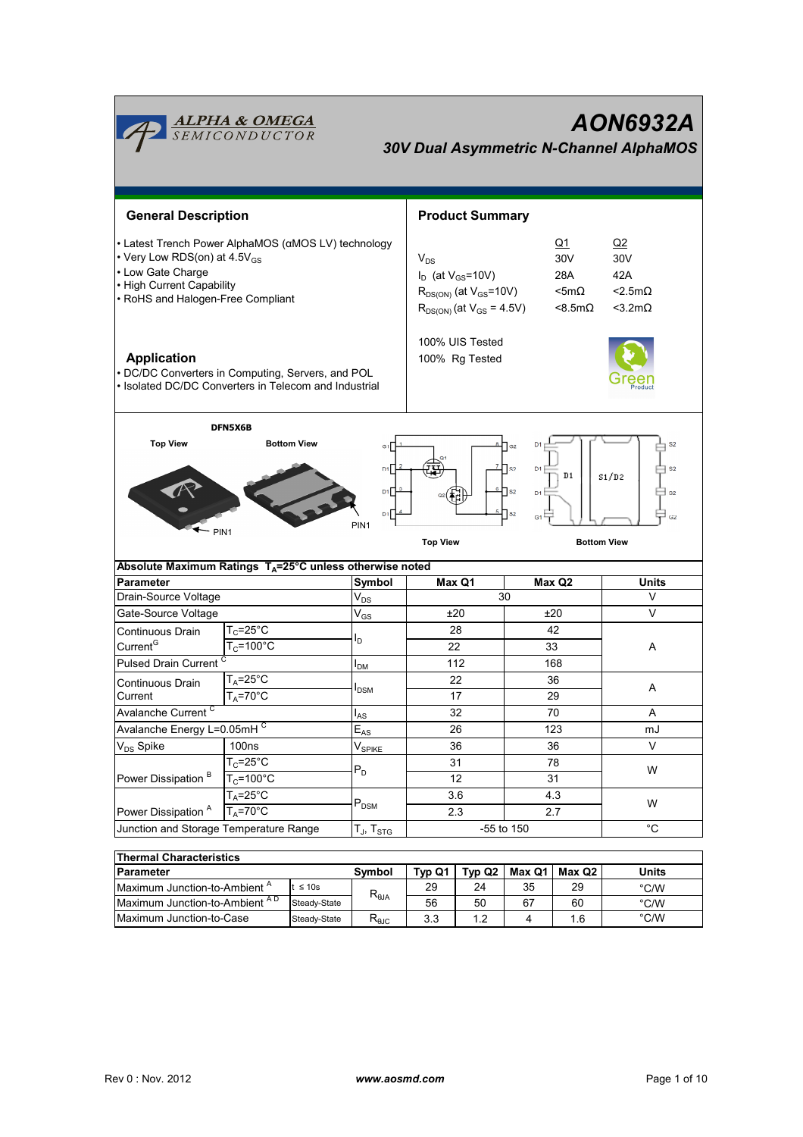| AON6932A<br><u><b>ALPHA &amp; OMEGA</b><br/>SEMICONDUCTOR</u><br><b>30V Dual Asymmetric N-Channel AlphaMOS</b>                                                                                                            |                                                         |                      |                            |                                                                                                                                                      |                        |                 |                   |                                                                        |  |
|---------------------------------------------------------------------------------------------------------------------------------------------------------------------------------------------------------------------------|---------------------------------------------------------|----------------------|----------------------------|------------------------------------------------------------------------------------------------------------------------------------------------------|------------------------|-----------------|-------------------|------------------------------------------------------------------------|--|
| <b>General Description</b>                                                                                                                                                                                                |                                                         |                      |                            |                                                                                                                                                      | <b>Product Summary</b> |                 |                   |                                                                        |  |
| • Latest Trench Power AlphaMOS (αMOS LV) technology<br>• Very Low RDS(on) at 4.5V <sub>GS</sub><br>• Low Gate Charge<br>• High Current Capability<br>• RoHS and Halogen-Free Compliant                                    |                                                         |                      |                            | Q1<br>30V<br>$V_{DS}$<br>$I_D$ (at $V_{GS}$ =10V)<br>28A<br>$R_{DS(ON)}$ (at $V_{GS}$ =10V)<br>$<$ 5m $\Omega$<br>$R_{DS(ON)}$ (at $V_{GS} = 4.5V$ ) |                        |                 | $<$ 8.5m $\Omega$ | Q2<br>30 <sub>V</sub><br>42A<br>$<$ 2.5m $\Omega$<br>$<$ 3.2m $\Omega$ |  |
| <b>Application</b><br>• DC/DC Converters in Computing, Servers, and POL<br>• Isolated DC/DC Converters in Telecom and Industrial                                                                                          |                                                         |                      |                            | 100% UIS Tested<br>100% Rg Tested                                                                                                                    |                        |                 |                   |                                                                        |  |
|                                                                                                                                                                                                                           | DFN5X6B                                                 |                      |                            |                                                                                                                                                      |                        |                 |                   |                                                                        |  |
| $7 \text{ s}$<br>D1<br>S <sub>2</sub><br>D1<br>S1/D2<br>$\mathbf{e}_{\square}$ s2<br>D1<br>D <sub>1</sub><br>∃ s2<br>$\P$ s2<br>G1<br>G2<br>PIN <sub>1</sub><br>PIN <sub>1</sub><br><b>Top View</b><br><b>Bottom View</b> |                                                         |                      |                            |                                                                                                                                                      |                        |                 |                   |                                                                        |  |
| Absolute Maximum Ratings T <sub>A</sub> =25°C unless otherwise noted                                                                                                                                                      |                                                         |                      |                            |                                                                                                                                                      |                        |                 |                   |                                                                        |  |
| <b>Parameter</b>                                                                                                                                                                                                          |                                                         |                      | Symbol                     |                                                                                                                                                      | Max Q1                 | Max Q2          |                   | Units                                                                  |  |
| Drain-Source Voltage                                                                                                                                                                                                      |                                                         |                      | $\mathsf{V}_{\mathsf{DS}}$ | 30                                                                                                                                                   |                        |                 | V                 |                                                                        |  |
| Gate-Source Voltage                                                                                                                                                                                                       |                                                         |                      | $V_{GS}$                   | ±20                                                                                                                                                  |                        | ±20             |                   | V                                                                      |  |
| Continuous Drain                                                                                                                                                                                                          | $T_c = 25^\circ C$                                      |                      | ı,                         |                                                                                                                                                      | 28                     | 42              |                   |                                                                        |  |
| Current <sup>G</sup>                                                                                                                                                                                                      | $T_c = 100^{\circ}$ C                                   |                      |                            | 22                                                                                                                                                   |                        |                 | 33                | A                                                                      |  |
| <b>Pulsed Drain Current</b>                                                                                                                                                                                               |                                                         |                      | <b>I</b> <sub>DM</sub>     | 112                                                                                                                                                  |                        |                 | 168               |                                                                        |  |
| Continuous Drain                                                                                                                                                                                                          | $T_A = 25$ °C                                           |                      | <b>I</b> <sub>DSM</sub>    | 22<br>17                                                                                                                                             |                        | 36              |                   | Α                                                                      |  |
| $T_A = 70$ °C<br>Current                                                                                                                                                                                                  |                                                         |                      |                            |                                                                                                                                                      |                        |                 | 29                |                                                                        |  |
| Avalanche Current <sup>C</sup>                                                                                                                                                                                            |                                                         | $I_{AS}$             | 32                         |                                                                                                                                                      | 70                     |                 | Α                 |                                                                        |  |
| Avalanche Energy L=0.05mHC                                                                                                                                                                                                |                                                         |                      | $E_{AS}$                   | 26                                                                                                                                                   |                        | 123             |                   | mJ                                                                     |  |
| V <sub>DS</sub> Spike<br><b>100ns</b>                                                                                                                                                                                     |                                                         | $V_{\mathsf{SPIKE}}$ | 36                         |                                                                                                                                                      | 36                     |                 | V                 |                                                                        |  |
|                                                                                                                                                                                                                           | $T_c = 25$ °C<br>$T_c = 100^{\circ}$ C<br>$T_A = 25$ °C |                      | $P_D$<br>$P_{DSM}$         | 31<br>12<br>3.6                                                                                                                                      |                        | 78<br>31<br>4.3 |                   | W<br>W                                                                 |  |
| Power Dissipation <sup>B</sup>                                                                                                                                                                                            |                                                         |                      |                            |                                                                                                                                                      |                        |                 |                   |                                                                        |  |
|                                                                                                                                                                                                                           |                                                         |                      |                            |                                                                                                                                                      |                        |                 |                   |                                                                        |  |
| Power Dissipation <sup>A</sup><br>$T_A = 70^\circ C$                                                                                                                                                                      |                                                         |                      | 2.3                        |                                                                                                                                                      |                        | 2.7             |                   |                                                                        |  |
| Junction and Storage Temperature Range                                                                                                                                                                                    |                                                         |                      | $T_J$ , $T_{STG}$          | -55 to 150                                                                                                                                           |                        |                 | $^{\circ}$ C      |                                                                        |  |
| <b>Thermal Characteristics</b>                                                                                                                                                                                            |                                                         |                      |                            |                                                                                                                                                      |                        |                 |                   |                                                                        |  |
| <b>Parameter</b>                                                                                                                                                                                                          |                                                         |                      | Symbol                     | Typ Q1                                                                                                                                               | Typ Q2                 | Max Q1          | Max Q2            | Units                                                                  |  |
| Maximum Junction-to-Ambient A<br>$t \leq 10s$                                                                                                                                                                             |                                                         |                      | 29                         | 24                                                                                                                                                   | 35                     | 29              | $\degree$ C/W     |                                                                        |  |
| Maximum Junction-to-Ambient AD<br>Steady-State                                                                                                                                                                            |                                                         | $R_{\theta$ JA       | 56                         | 50                                                                                                                                                   | 67                     | 60              | $^{\circ}$ C/W    |                                                                        |  |

Maximum Junction-to-Case

Steady-State  $R_{\theta \text{JC}}$  3.3 1.2 4 1.6

°C/W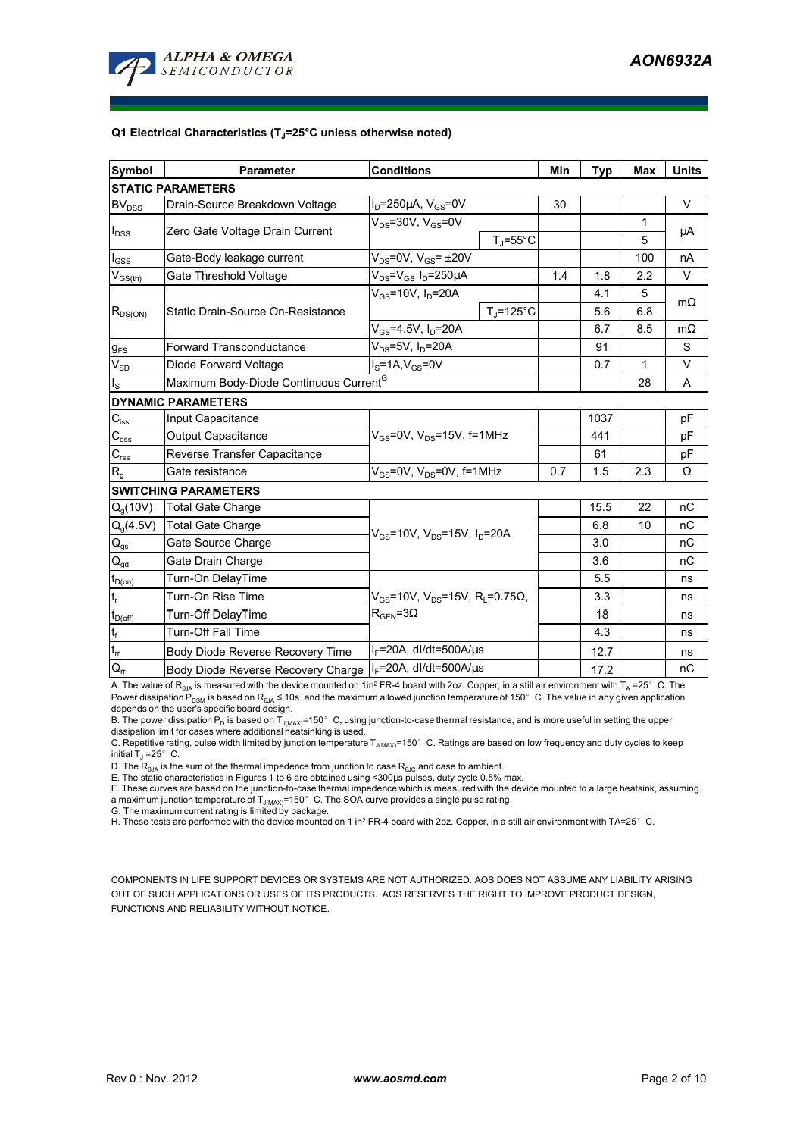

#### **Q1 Electrical Characteristics (TJ=25°C unless otherwise noted)**

| <b>Symbol</b>                                      | <b>Parameter</b>                                   | <b>Conditions</b>                                                                 | Min               | <b>Typ</b> | <b>Max</b>   | <b>Units</b> |           |  |  |
|----------------------------------------------------|----------------------------------------------------|-----------------------------------------------------------------------------------|-------------------|------------|--------------|--------------|-----------|--|--|
| <b>STATIC PARAMETERS</b>                           |                                                    |                                                                                   |                   |            |              |              |           |  |  |
| <b>BV</b> <sub>DSS</sub>                           | Drain-Source Breakdown Voltage                     | $I_D = 250 \mu A$ , $V_{GS} = 0V$                                                 |                   | 30         |              |              | $\vee$    |  |  |
| $I_{DSS}$                                          | Zero Gate Voltage Drain Current                    | $V_{DS}$ =30V, $V_{GS}$ =0V                                                       |                   |            |              | 1            | μA        |  |  |
|                                                    |                                                    |                                                                                   | $T_{J}$ =55°C     |            |              | 5            |           |  |  |
| $I_{GSS}$                                          | Gate-Body leakage current                          | $V_{DS}$ =0V, $V_{GS}$ = $\pm$ 20V                                                |                   |            |              | 100          | nA        |  |  |
| $\mathsf{V}_{\mathsf{GS}(\underbar{\mathsf{th}})}$ | Gate Threshold Voltage                             | $V_{DS} = V_{GS} I_D = 250 \mu A$                                                 |                   | 1.4        | 1.8          | 2.2          | $\vee$    |  |  |
| $R_{DS(ON)}$                                       | Static Drain-Source On-Resistance                  | $V_{GS}$ =10V, I <sub>D</sub> =20A                                                |                   |            | 4.1          | 5            | $m\Omega$ |  |  |
|                                                    |                                                    |                                                                                   | $TJ=125^{\circ}C$ |            | 5.6          | 6.8          |           |  |  |
|                                                    |                                                    | $V_{GS}$ =4.5V, $I_D$ =20A                                                        |                   |            | 6.7          | 8.5          | $m\Omega$ |  |  |
| $g_{FS}$                                           | Forward Transconductance                           | $V_{DS}$ =5V, I <sub>D</sub> =20A                                                 |                   | 91         |              | S            |           |  |  |
| $V_{SD}$                                           | Diode Forward Voltage                              | $IS=1A, VGS=0V$                                                                   |                   | 0.7        | $\mathbf{1}$ | $\vee$       |           |  |  |
| $I_{\rm S}$                                        | Maximum Body-Diode Continuous Current <sup>G</sup> |                                                                                   |                   |            |              | 28           | A         |  |  |
|                                                    | <b>DYNAMIC PARAMETERS</b>                          |                                                                                   |                   |            |              |              |           |  |  |
| $C_{iss}$                                          | Input Capacitance                                  |                                                                                   |                   | 1037       |              | pF           |           |  |  |
| $C_{\rm oss}$                                      | <b>Output Capacitance</b>                          | $V_{\text{GS}}$ =0V, $V_{\text{DS}}$ =15V, f=1MHz                                 |                   |            | 441          |              | pF        |  |  |
| $C_{\text{rss}}$                                   | Reverse Transfer Capacitance                       |                                                                                   |                   | 61         |              | pF           |           |  |  |
| R <sub>g</sub>                                     | Gate resistance                                    | $V_{GS}$ =0V, $V_{DS}$ =0V, f=1MHz                                                | 0.7               | 1.5        | 2.3          | Ω            |           |  |  |
| <b>SWITCHING PARAMETERS</b>                        |                                                    |                                                                                   |                   |            |              |              |           |  |  |
| $Q_q(10V)$                                         | <b>Total Gate Charge</b>                           | $V_{GS}$ =10V, $V_{DS}$ =15V, $I_D$ =20A                                          |                   |            | 15.5         | 22           | пC        |  |  |
| $Q_g(4.5V)$                                        | <b>Total Gate Charge</b>                           |                                                                                   |                   |            | 6.8          | 10           | nC        |  |  |
| $\mathsf{Q}_{\mathsf{gs}}$                         | Gate Source Charge                                 |                                                                                   |                   |            | 3.0          |              | nС        |  |  |
| $\mathsf{Q}_{\mathsf{gd}}$                         | Gate Drain Charge                                  |                                                                                   |                   |            | 3.6          |              | nC        |  |  |
| $t_{D(on)}$                                        | Turn-On DelayTime                                  |                                                                                   |                   |            | 5.5          |              | ns        |  |  |
| $\mathsf{t}_{\mathsf{r}}$                          | Turn-On Rise Time                                  | $V_{GS}$ =10V, $V_{DS}$ =15V, R <sub>L</sub> =0.75Ω,<br>$\rm R_{GEN}$ =3 $\Omega$ |                   |            | 3.3          |              | ns        |  |  |
| $t_{D(off)}$                                       | Turn-Off DelayTime                                 |                                                                                   |                   |            | 18           |              | ns        |  |  |
| $\mathfrak{t}_{\mathsf{f}}$                        | <b>Turn-Off Fall Time</b>                          |                                                                                   |                   |            | 4.3          |              | ns        |  |  |
| $t_{rr}$                                           | Body Diode Reverse Recovery Time                   | $I_F = 20A$ , dl/dt=500A/ $\mu$ s                                                 |                   |            | 12.7         |              | ns        |  |  |
| $Q_{rr}$                                           | Body Diode Reverse Recovery Charge                 | $I_F$ =20A, dl/dt=500A/ $\mu$ s                                                   |                   |            | 17.2         |              | nC        |  |  |

A. The value of R<sub>θJA</sub> is measured with the device mounted on 1in<sup>2</sup> FR-4 board with 2oz. Copper, in a still air environment with T<sub>A</sub> =25°C. The Power dissipation  $P_{DSM}$  is based on R<sub>BJA</sub> ≤ 10s and the maximum allowed junction temperature of 150°C. The value in any given application depends on the user's specific board design.

B. The power dissipation P<sub>D</sub> is based on T<sub>J(MAX)</sub>=150°C, using junction-to-case thermal resistance, and is more useful in setting the upper<br>dissipation limit for cases where additional heatsinking is used.

C. Repetitive rating, pulse width limited by junction temperature T<sub>J(MAX)</sub>=150°C. Ratings are based on low frequency and duty cycles to keep initial  $T_J = 25^\circ$  C.

D. The  $R_{h1A}$  is the sum of the thermal impedence from junction to case  $R_{h1C}$  and case to ambient.

E. The static characteristics in Figures 1 to 6 are obtained using <300µs pulses, duty cycle 0.5% max.

F. These curves are based on the junction-to-case thermal impedence which is measured with the device mounted to a large heatsink, assuming a maximum junction temperature of  $T_{J(MAX)}$ =150° C. The SOA curve provides a single pulse rating.

G. The maximum current rating is limited by package.

H. These tests are performed with the device mounted on 1 in<sup>2</sup> FR-4 board with 2oz. Copper, in a still air environment with TA=25°C.

COMPONENTS IN LIFE SUPPORT DEVICES OR SYSTEMS ARE NOT AUTHORIZED. AOS DOES NOT ASSUME ANY LIABILITY ARISING OUT OF SUCH APPLICATIONS OR USES OF ITS PRODUCTS. AOS RESERVES THE RIGHT TO IMPROVE PRODUCT DESIGN, FUNCTIONS AND RELIABILITY WITHOUT NOTICE.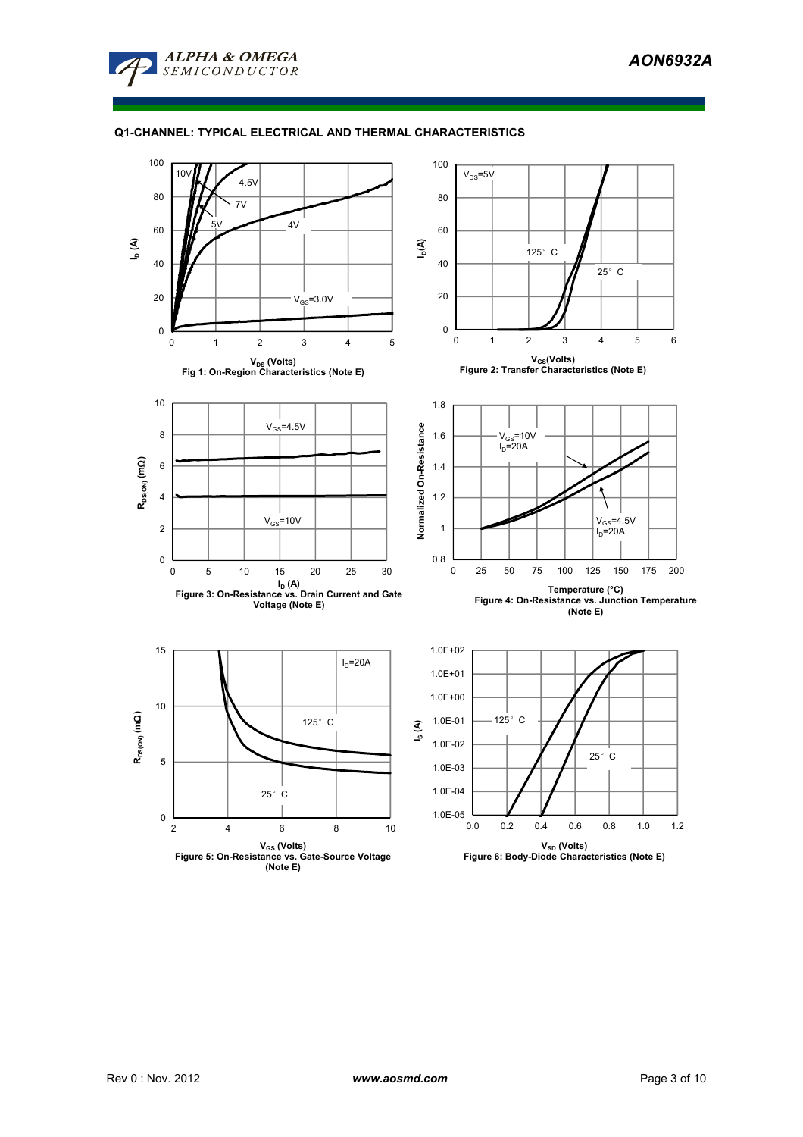

# **Q1-CHANNEL: TYPICAL ELECTRICAL AND THERMAL CHARACTERISTICS**

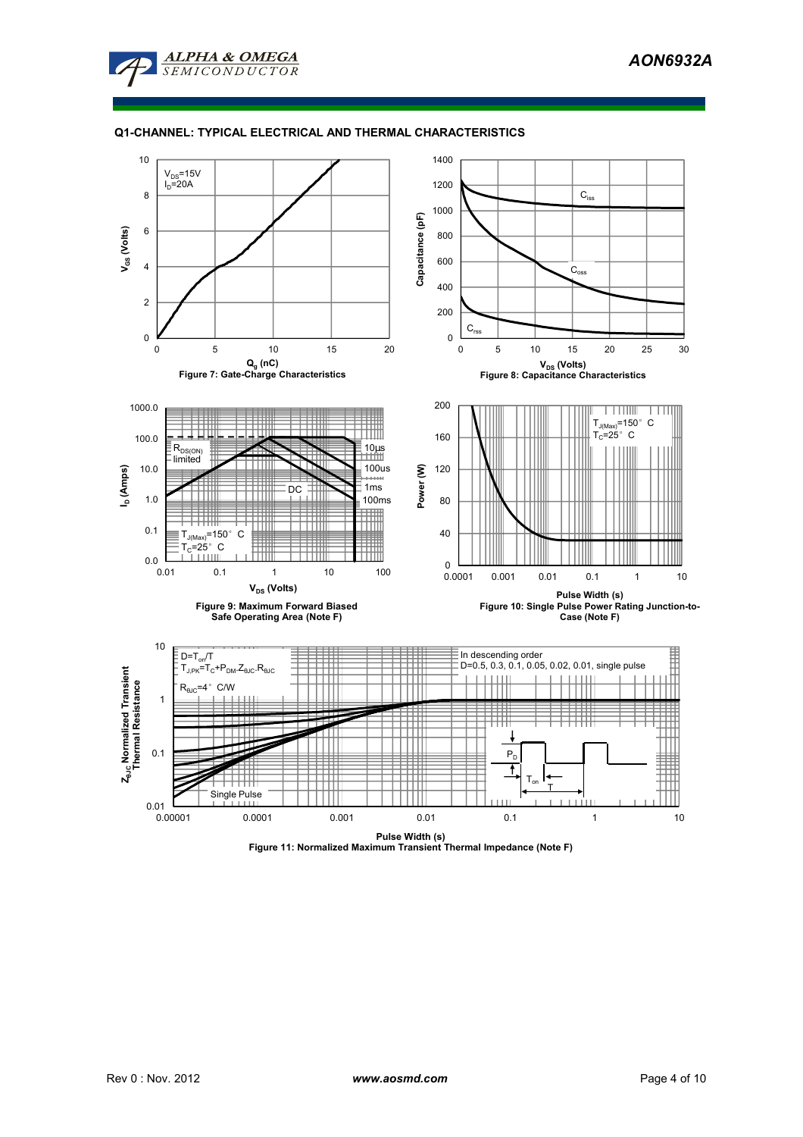

# **Q1-CHANNEL: TYPICAL ELECTRICAL AND THERMAL CHARACTERISTICS**



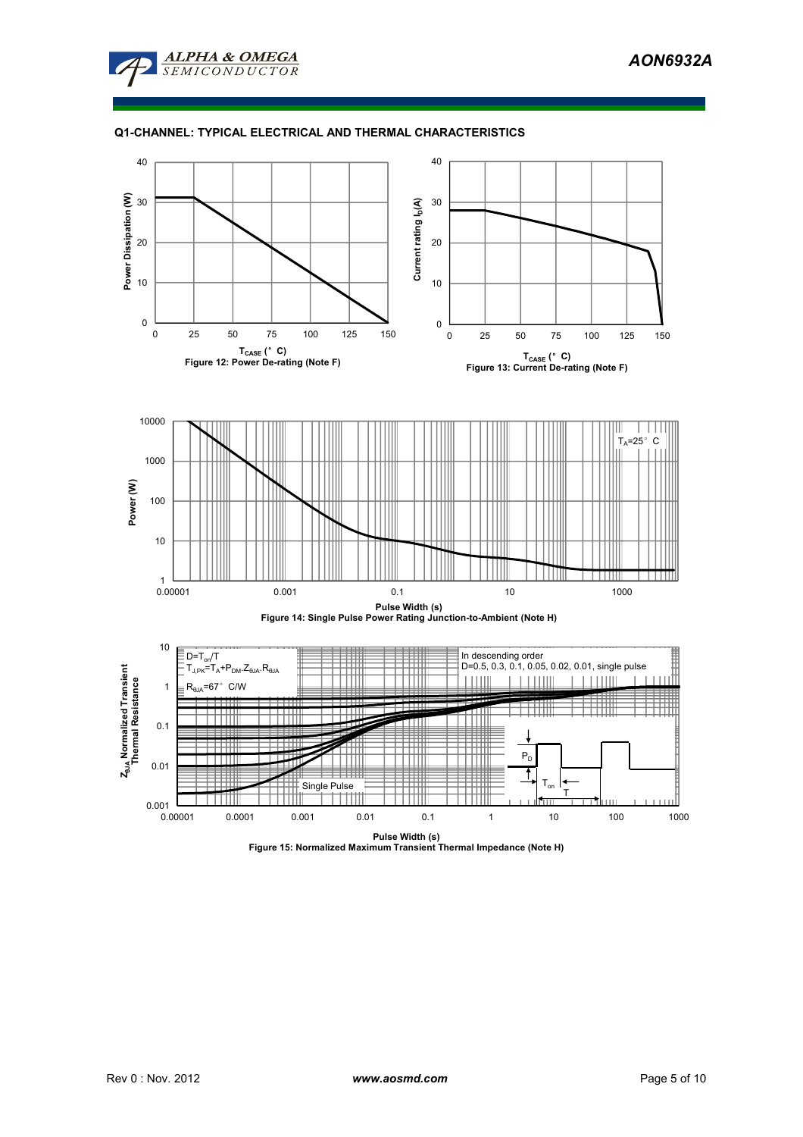

# **Q1-CHANNEL: TYPICAL ELECTRICAL AND THERMAL CHARACTERISTICS**



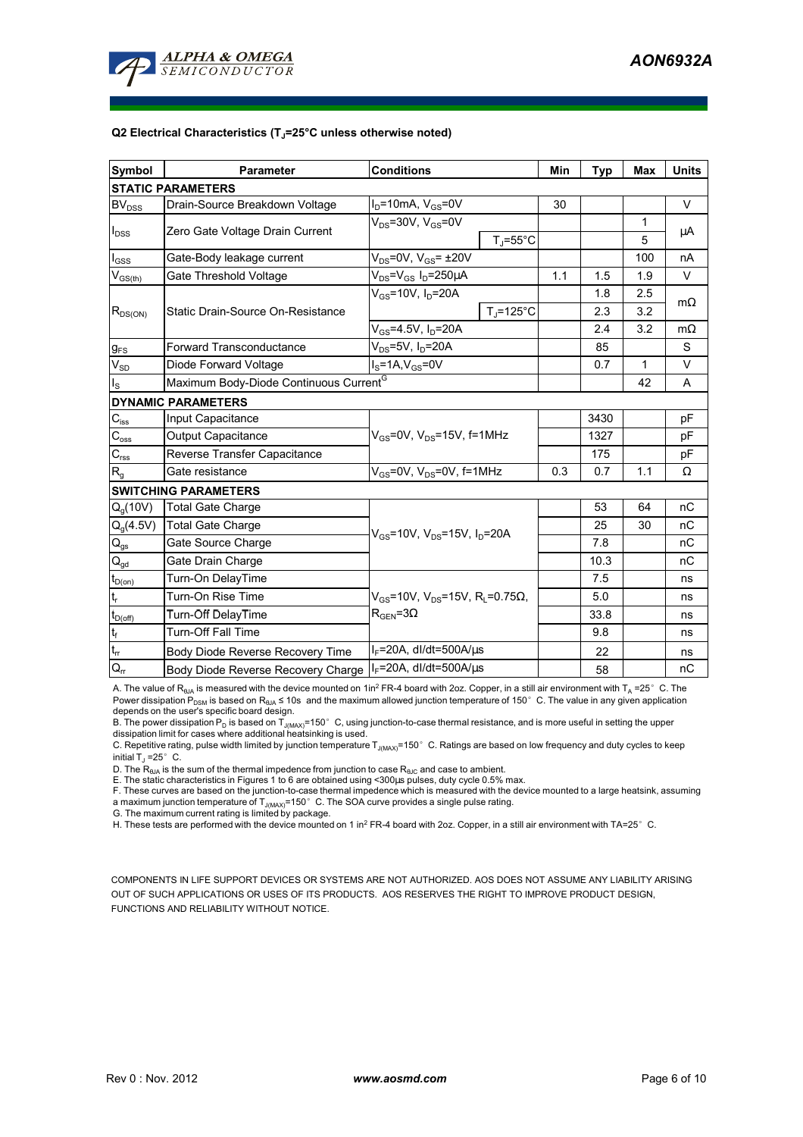

#### **Q2 Electrical Characteristics (TJ=25°C unless otherwise noted)**

| <b>Symbol</b>                                      | <b>Parameter</b>                                   | <b>Conditions</b>                                                                         |                    | Min | <b>Typ</b> | <b>Max</b> | <b>Units</b> |  |  |
|----------------------------------------------------|----------------------------------------------------|-------------------------------------------------------------------------------------------|--------------------|-----|------------|------------|--------------|--|--|
| <b>STATIC PARAMETERS</b>                           |                                                    |                                                                                           |                    |     |            |            |              |  |  |
| BV <sub>DSS</sub>                                  | Drain-Source Breakdown Voltage                     | $I_D$ =10mA, $V_{GS}$ =0V                                                                 |                    | 30  |            |            | V            |  |  |
| $I_{DSS}$                                          | Zero Gate Voltage Drain Current                    | $V_{DS}$ =30V, $V_{GS}$ =0V                                                               |                    |     |            | 1          | μA           |  |  |
|                                                    |                                                    |                                                                                           | $T_{\rm J}$ =55°C  |     |            | 5          |              |  |  |
| $I_{GSS}$                                          | Gate-Body leakage current                          | $V_{DS}$ =0V, $V_{GS}$ = $\pm$ 20V                                                        |                    |     |            | 100        | nA           |  |  |
| $\mathsf{V}_{\mathsf{GS}(\underbar{\mathsf{th}})}$ | Gate Threshold Voltage                             | $V_{DS} = V_{GS} I_D = 250 \mu A$                                                         |                    | 1.1 | 1.5        | 1.9        | $\vee$       |  |  |
| $R_{DS(ON)}$                                       | Static Drain-Source On-Resistance                  | $V_{GS}$ =10V, I <sub>D</sub> =20A                                                        |                    |     | 1.8        | 2.5        |              |  |  |
|                                                    |                                                    |                                                                                           | $T_{\rm J}$ =125°C |     | 2.3        | 3.2        | $m\Omega$    |  |  |
|                                                    |                                                    | $V_{GS}$ =4.5V, $I_D$ =20A                                                                |                    |     | 2.4        | 3.2        | $m\Omega$    |  |  |
| $g_{FS}$                                           | <b>Forward Transconductance</b>                    | V <sub>ns</sub> =5V, I <sub>n</sub> =20A                                                  |                    | 85  |            | S          |              |  |  |
| $V_{SD}$                                           | Diode Forward Voltage                              | $I_S = 1A$ , $V_{GS} = 0V$                                                                |                    | 0.7 | 1          | $\vee$     |              |  |  |
| $I_{\rm S}$                                        | Maximum Body-Diode Continuous Current <sup>G</sup> |                                                                                           |                    |     |            | 42         | A            |  |  |
|                                                    | <b>DYNAMIC PARAMETERS</b>                          |                                                                                           |                    |     |            |            |              |  |  |
| $C_{\text{iss}}$                                   | Input Capacitance                                  |                                                                                           |                    |     | 3430       |            | pF           |  |  |
| $C_{\rm oss}$                                      | <b>Output Capacitance</b>                          | $V_{GS}$ =0V, $V_{DS}$ =15V, f=1MHz                                                       |                    |     | 1327       |            | pF           |  |  |
| $C_{\text{rss}}$                                   | Reverse Transfer Capacitance                       |                                                                                           |                    |     | 175        |            | pF           |  |  |
| R <sub>g</sub>                                     | Gate resistance                                    | $V_{GS}$ =0V, $V_{DS}$ =0V, f=1MHz                                                        |                    | 0.3 | 0.7        | 1.1        | Ω            |  |  |
|                                                    | <b>SWITCHING PARAMETERS</b>                        |                                                                                           |                    |     |            |            |              |  |  |
| $Q_g(10V)$                                         | <b>Total Gate Charge</b>                           | $V_{GS}$ =10V, $V_{DS}$ =15V, I <sub>D</sub> =20A                                         |                    |     | 53         | 64         | пC           |  |  |
| $Q_g(4.5V)$                                        | <b>Total Gate Charge</b>                           |                                                                                           |                    |     | 25         | 30         | nC           |  |  |
| $Q_{gs}$                                           | Gate Source Charge                                 |                                                                                           |                    |     | 7.8        |            | пC           |  |  |
| $Q_{gd}$                                           | Gate Drain Charge                                  |                                                                                           |                    |     | 10.3       |            | nC           |  |  |
| $t_{D(on)}$                                        | Turn-On DelayTime                                  |                                                                                           |                    |     | 7.5        |            | ns           |  |  |
| $t_r$                                              | Turn-On Rise Time                                  | $V_{GS}$ =10V, V <sub>DS</sub> =15V, R <sub>L</sub> =0.75Ω,<br>$R_{\text{GEN}} = 3\Omega$ |                    |     | 5.0        |            | ns           |  |  |
| $t_{D(\text{off})}$                                | Turn-Off DelayTime                                 |                                                                                           |                    |     | 33.8       |            | ns           |  |  |
| $\mathfrak{t}_{\mathsf{f}}$                        | <b>Turn-Off Fall Time</b>                          |                                                                                           |                    |     | 9.8        |            | ns           |  |  |
| $t_{rr}$                                           | Body Diode Reverse Recovery Time                   | $I_F = 20A$ , dl/dt=500A/ $\mu$ s                                                         |                    |     | 22         |            | ns           |  |  |
| $Q_{rr}$                                           | Body Diode Reverse Recovery Charge                 | $IF=20A$ , dl/dt=500A/us                                                                  |                    |     | 58         |            | nC           |  |  |

A. The value of R<sub>θJA</sub> is measured with the device mounted on 1in<sup>2</sup> FR-4 board with 2oz. Copper, in a still air environment with T<sub>A</sub> =25° C. The Power dissipation  $P_{DSM}$  is based on R<sub>θJA</sub> ≤ 10s and the maximum allowed junction temperature of 150°C. The value in any given application depends on the user's specific board design.

B. The power dissipation P<sub>D</sub> is based on  $T_{J(MAX)}$ =150°C, using junction-to-case thermal resistance, and is more useful in setting the upper dissipation limit for cases where additional heatsinking is used.

C. Repetitive rating, pulse width limited by junction temperature T<sub>J(MAX)</sub>=150°C. Ratings are based on low frequency and duty cycles to keep initial  $T_J = 25^\circ$  C.

D. The  $R_{AJA}$  is the sum of the thermal impedence from junction to case  $R_{AJC}$  and case to ambient.

E. The static characteristics in Figures 1 to 6 are obtained using <300µs pulses, duty cycle 0.5% max.

F. These curves are based on the junction-to-case thermal impedence which is measured with the device mounted to a large heatsink, assuming a maximum junction temperature of  $T_{J(MAX)}$ =150° C. The SOA curve provides a single pulse rating.

G. The maximum current rating is limited by package.

H. These tests are performed with the device mounted on 1 in<sup>2</sup> FR-4 board with 2oz. Copper, in a still air environment with TA=25°C.

COMPONENTS IN LIFE SUPPORT DEVICES OR SYSTEMS ARE NOT AUTHORIZED. AOS DOES NOT ASSUME ANY LIABILITY ARISING OUT OF SUCH APPLICATIONS OR USES OF ITS PRODUCTS. AOS RESERVES THE RIGHT TO IMPROVE PRODUCT DESIGN, FUNCTIONS AND RELIABILITY WITHOUT NOTICE.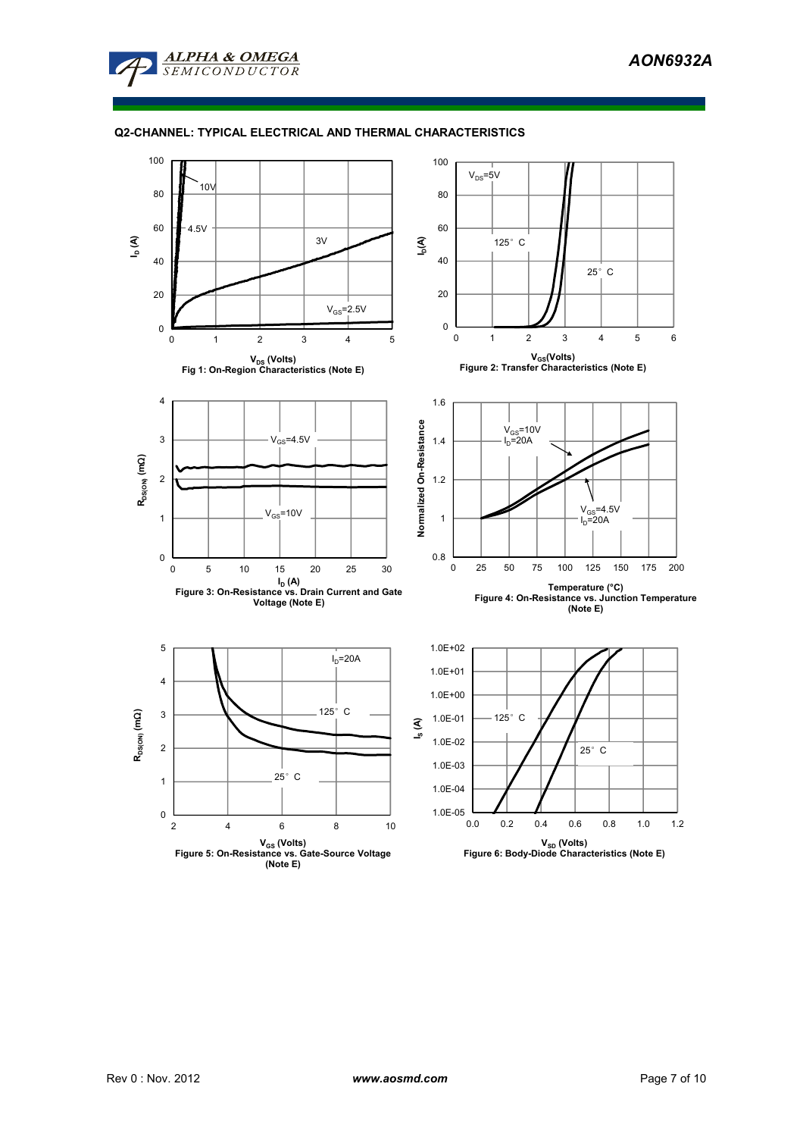

# **Q2-CHANNEL: TYPICAL ELECTRICAL AND THERMAL CHARACTERISTICS**

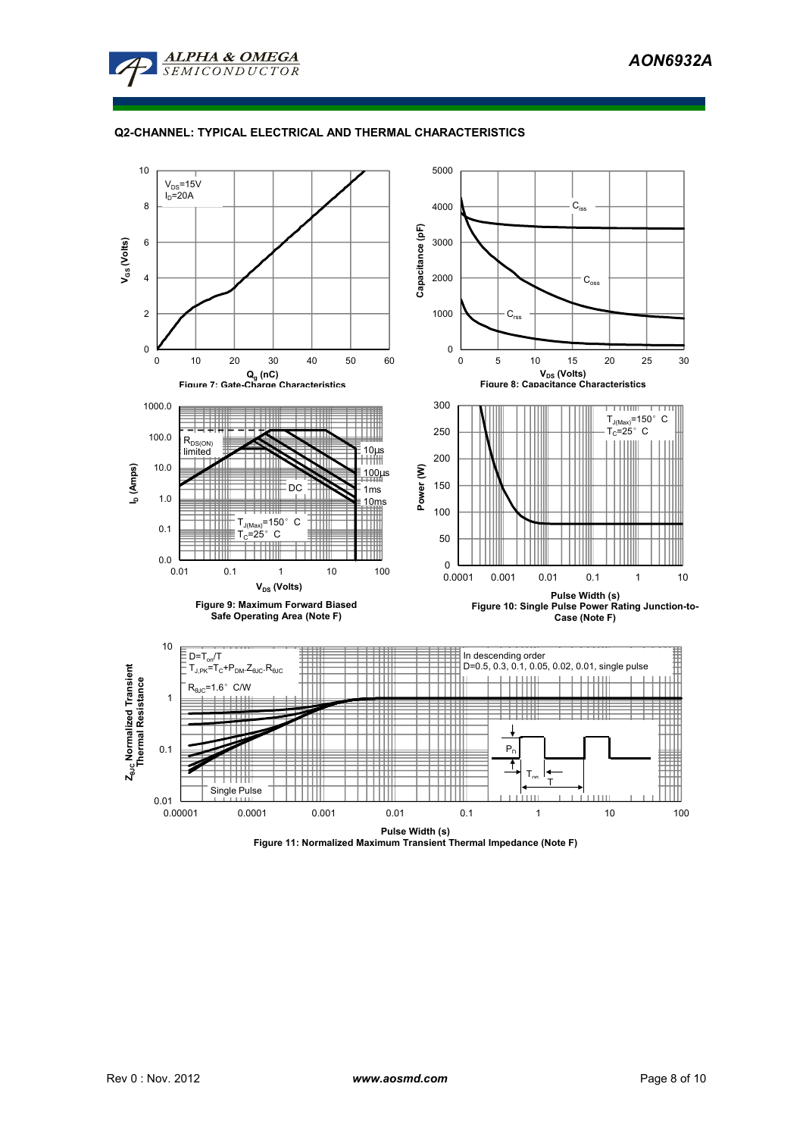

# **Q2-CHANNEL: TYPICAL ELECTRICAL AND THERMAL CHARACTERISTICS**



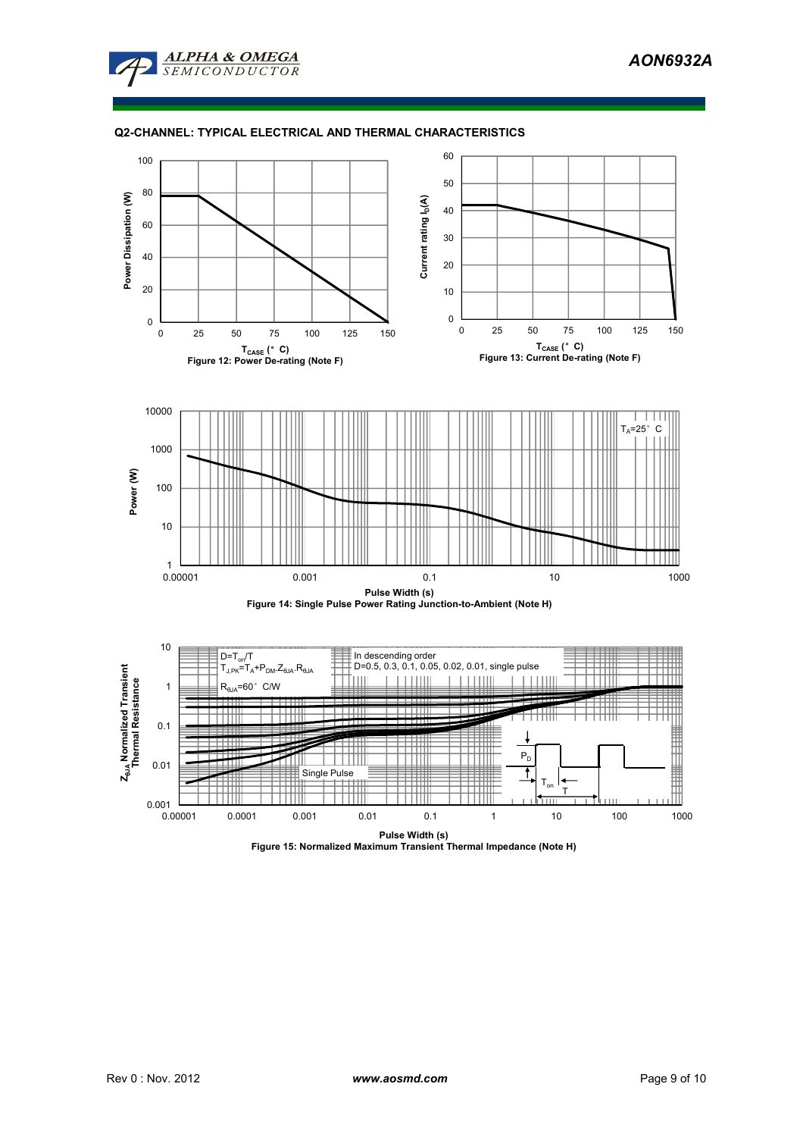

# **Q2-CHANNEL: TYPICAL ELECTRICAL AND THERMAL CHARACTERISTICS**



**Pulse Width (s) Figure 15: Normalized Maximum Transient Thermal Impedance (Note H)**